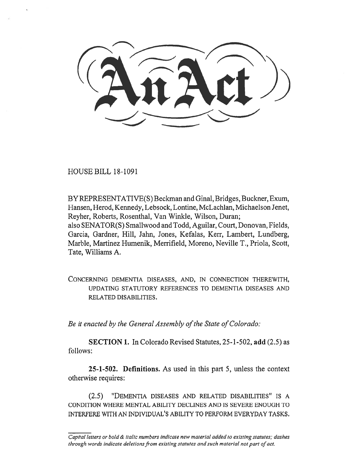HOUSE BILL 18-1091

BY REPRESENTATIVE(S) Beckman and Ginal, Bridges, Buckner, Exum, Hansen, Herod, Kennedy, Lebsock, Lontine, McLachlan, Michaelson Jenet, Reyher, Roberts, Rosenthal, Van Winkle, Wilson, Duran; also SENATOR(S) Smallwood and Todd, Aguilar, Court, Donovan, Fields, Garcia, Gardner, Hill, Jahn, Jones, Kefalas, Kerr, Lambert, Lundberg, Marble, Martinez Humenik, Merrifield, Moreno, Neville T., Priola, Scott, Tate, Williams A.

CONCERNING DEMENTIA DISEASES, AND, IN CONNECTION THEREWITH, UPDATING STATUTORY REFERENCES TO DEMENTIA DISEASES AND RELATED DISABILITIES.

*Be it enacted by the General Assembly of the State of Colorado:* 

**SECTION 1.** In Colorado Revised Statutes, 25-1-502, **add** (2.5) as follows:

**25-1-502. Definitions.** As used in this part 5, unless the context otherwise requires:

(2.5) "DEMENTIA DISEASES AND RELATED DISABILITIES" IS A CONDITION WHERE MENTAL ABILITY DECLINES AND IS SEVERE ENOUGH TO INTERFERE WITH AN INDIVIDUAL'S ABILITY TO PERFORM EVERYDAY TASKS.

*Capital letters or bold & italic numbers indicate new material added to existing statutes; dashes through words indicate deletions from existing statutes and such material not part of act.*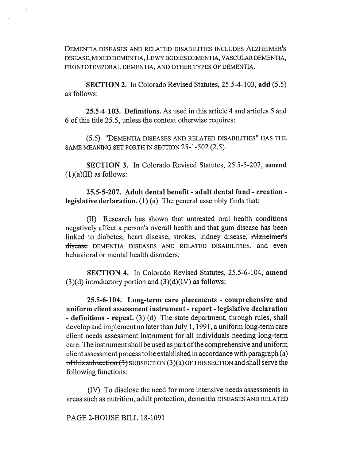DEMENTIA DISEASES AND RELATED DISABILITIES INCLUDES ALZHEIMER'S DISEASE, MIXED DEMENTIA, LEWY BODIES DEMENTIA, VASCULAR DEMENTIA, FRONTOTEMPORAL DEMENTIA, AND OTHER TYPES OF DEMENTIA.

**SECTION 2.** In Colorado Revised Statutes, 25.5-4-103, **add** (5.5) as follows:

**25.5-4-103. Definitions.** As used in this article 4 and articles 5 and 6 of this title 25.5, unless the context otherwise requires:

(5.5) "DEMENTIA DISEASES AND RELATED DISABILITIES" HAS THE SAME MEANING SET FORTH IN SECTION 25-1-502 (2.5).

**SECTION 3.** In Colorado Revised Statutes, 25.5-5-207, **amend**   $(1)(a)(II)$  as follows:

**25.5-5-207. Adult dental benefit - adult dental fund - creation legislative declaration.** (1) (a) The general assembly finds that:

(II) Research has shown that untreated oral health conditions negatively affect a person's overall health and that gum disease has been linked to diabetes, heart disease, strokes, kidney disease, Alzheimer's discasc DEMENTIA DISEASES AND RELATED DISABILITIES, and even behavioral or mental health disorders;

**SECTION 4.** In Colorado Revised Statutes, 25.5-6-104, **amend**   $(3)(d)$  introductory portion and  $(3)(d)(IV)$  as follows:

**25.5-6-104. Long-term care placements - comprehensive and uniform client assessment instrument - report - legislative declaration - definitions - repeal.** (3) (d) The state department, through rules, shall develop and implement no later than July 1, 1991, a uniform long-term care client needs assessment instrument for all individuals needing long-term care. The instrument shall be used as part of the comprehensive and uniform client assessment process to be established in accordance with paragraph  $(a)$ of this subsection  $(3)$  SUBSECTION  $(3)(a)$  OF THIS SECTION and shall serve the following functions:

(IV) To disclose the need for more intensive needs assessments in areas such as nutrition, adult protection, dementia DISEASES AND RELATED

PAGE 2-HOUSE BILL 18-1091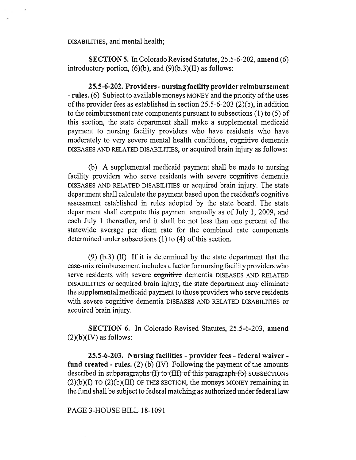## DISABILITIES, and mental health;

**SECTION 5.** In Colorado Revised Statutes, 25.5-6-202, **amend** (6) introductory portion,  $(6)(b)$ , and  $(9)(b.3)(II)$  as follows:

**25.5-6-202. Providers - nursing facility provider reimbursement - rules.** (6) Subject to available moneys MONEY and the priority of the uses of the provider fees as established in section 25.5-6-203 (2)(b), in addition to the reimbursement rate components pursuant to subsections (1) to (5) of this section, the state department shall make a supplemental medicaid payment to nursing facility providers who have residents who have moderately to very severe mental health conditions, cognitive dementia DISEASES AND RELATED DISABILITIES, or acquired brain injury as follows:

(b) A supplemental medicaid payment shall be made to nursing facility providers who serve residents with severe cognitive dementia DISEASES AND RELATED DISABILITIES or acquired brain injury. The state department shall calculate the payment based upon the resident's cognitive assessment established in rules adopted by the state board. The state department shall compute this payment annually as of July 1, 2009, and each July 1 thereafter, and it shall be not less than one percent of the statewide average per diem rate for the combined rate components determined under subsections (1) to (4) of this section.

(9) (b.3) (II) If it is determined by the state department that the case-mix reimbursement includes a factor for nursing facility providers who serve residents with severe cognitive dementia DISEASES AND RELATED DISABILITIES or acquired brain injury, the state department may eliminate the supplemental medicaid payment to those providers who serve residents with severe cognitive dementia DISEASES AND RELATED DISABILITIES or acquired brain injury.

**SECTION 6.** In Colorado Revised Statutes, 25.5-6-203, **amend**   $(2)(b)(IV)$  as follows:

**25.5-6-203. Nursing facilities - provider fees - federal waiver fund created - rules.** (2) (b) (IV) Following the payment of the amounts described in subparagraphs (I) to (III) of this paragraph (b) SUBSECTIONS (2)(b)(I) TO (2)(b)(III) OF THIS SECTION, **the moneys** MONEY remaining in the fund shall be subject to federal matching as authorized under federal law

PAGE 3-HOUSE BILL 18-1091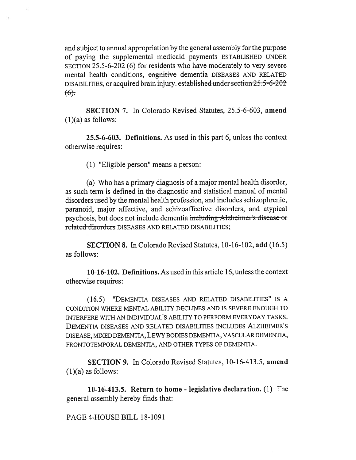and subject to annual appropriation by the general assembly for the purpose of paying the supplemental medicaid payments ESTABLISHED UNDER SECTION 25.5-6-202 (6) for residents who have moderately to very severe mental health conditions, cognitive dementia DISEASES AND RELATED DISABILITIES, or acquired brain injury.  $established$  under section  $25.5-6-202$  $f(6)$ .

**SECTION 7.** In Colorado Revised Statutes, 25.5-6-603, **amend**   $(1)(a)$  as follows:

**25.5-6-603. Definitions.** As used in this part 6, unless the context otherwise requires:

(1) "Eligible person" means a person:

(a) Who has a primary diagnosis of a major mental health disorder, as such term is defined in the diagnostic and statistical manual of mental disorders used by the mental health profession, and includes schizophrenic, paranoid, major affective, and schizoaffective disorders, and atypical psychosis, but does not include dementia including-Alzheimer's disease-or related disorders DISEASES AND RELATED DISABILITIES;

**SECTION 8.** In Colorado Revised Statutes, 10-16-102, **add** (16.5) as follows:

**10-16-102. Definitions.** As used in this article 16, unless the context otherwise requires:

(16.5) "DEMENTIA DISEASES AND RELATED DISABILITIES" IS A CONDITION WHERE MENTAL ABILITY DECLINES AND IS SEVERE ENOUGH TO INTERFERE WITH AN INDIVIDUAL'S ABILITY TO PERFORM EVERYDAY TASKS. DEMENTIA DISEASES AND RELATED DISABILITIES INCLUDES ALZHEIMER'S DISEASE, MIXED DEMENTIA, LEWY BODIES DEMENTIA, VASCULAR DEMENTIA, FRONTOTEMPORAL DEMENTIA, AND OTHER TYPES OF DEMENTIA.

**SECTION 9.** In Colorado Revised Statutes, 10-16-413.5, **amend**   $(1)(a)$  as follows:

**10-16-413.5. Return to home - legislative declaration.** (1) The general assembly hereby finds that:

PAGE 4-HOUSE BILL 18-1091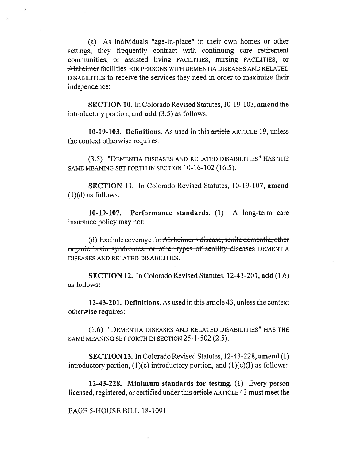(a) As individuals "age-in-place" in their own homes or other settings, they frequently contract with continuing care retirement communities, or assisted living FACILITIES, nursing FACILITIES, or Atzheimer facilities FOR PERSONS WITH DEMENTIA DISEASES AND RELATED DISABILITIES to receive the services they need in order to maximize their independence;

**SECTION 10.** In Colorado Revised Statutes, 10-19-103, **amend** the introductory portion; and **add** (3.5) as follows:

**10-19-103. Definitions.** As used in this article ARTICLE 19, unless the context otherwise requires:

(3.5) "DEMENTIA DISEASES AND RELATED DISABILITIES" HAS THE SAME MEANING SET FORTH IN SECTION 10-16-102 (16.5).

**SECTION 11.** In Colorado Revised Statutes, 10-19-107, **amend**   $(1)(d)$  as follows:

**10-19-107. Performance standards.** (1) A long-term care insurance policy may not:

(d) Exclude coverage for  $\overline{Alz}$  heimer's disease, senile dementia, other organic brain syndromes, or other types of senility diseases DEMENTIA DISEASES AND RELATED DISABILITIES.

**SECTION 12.** In Colorado Revised Statutes, 12-43-201, **add** (1.6) as follows:

**12-43-201. Definitions.** As used in this article 43, unless the context otherwise requires:

(1.6) "DEMENTIA DISEASES AND RELATED DISABILITIES" HAS THE SAME MEANING SET FORTH IN SECTION 25-1-502 (2.5).

**SECTION 13.** In Colorado Revised Statutes, 12-43-228, **amend** (1) introductory portion,  $(1)(c)$  introductory portion, and  $(1)(c)(I)$  as follows:

**12-43-228. Minimum standards for testing.** (1) Every person licensed, registered, or certified under this article ARTICLE 43 must meet the

PAGE 5-HOUSE BILL 18-1091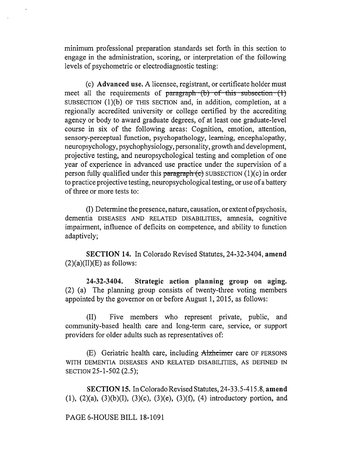minimum professional preparation standards set forth in this section to engage in the administration, scoring, or interpretation of the following levels of psychometric or electrodiagnostic testing:

(c) **Advanced use.** A licensee, registrant, or certificate holder must meet all the requirements of paragraph  $(b)$  of this subsection  $(1)$ SUBSECTION (1)(b) OF THIS SECTION and, in addition, completion, at a regionally accredited university or college certified by the accrediting agency or body to award graduate degrees, of at least one graduate-level course in six of the following areas: Cognition, emotion, attention, sensory-perceptual function, psychopathology, learning, encephalopathy, neuropsychology, psychophysiology, personality, growth and development, projective testing, and neuropsychological testing and completion of one year of experience in advanced use practice under the supervision of a person fully qualified under this paragraph  $(c)$  SUBSECTION  $(1)(c)$  in order to practice projective testing, neuropsychological testing, or use of a battery of three or more tests to:

(I) Determine the presence, nature, causation, or extent ofpsychosis, dementia DISEASES AND RELATED DISABILITIES, amnesia, cognitive impairment, influence of deficits on competence, and ability to function adaptively;

**SECTION 14.** In Colorado Revised Statutes, 24-32-3404, **amend**   $(2)(a)(II)(E)$  as follows:

**24-32-3404. Strategic action planning group on aging.**  (2) (a) The planning group consists of twenty-three voting members appointed by the governor on or before August 1, 2015, as follows:

(II) Five members who represent private, public, and community-based health care and long-term care, service, or support providers for older adults such as representatives of:

(E) Geriatric health care, including Aizheimer care OF PERSONS WITH DEMENTIA DISEASES AND RELATED DISABILITIES, AS DEFINED IN SECTION 25-1-502 (2.5);

**SECTION 15.** In Colorado Revised Statutes, 24-33.5-415.8, **amend**  (1), (2)(a), (3)(b)(I), (3)(c), (3)(e), (3)(f), (4) introductory portion, and

PAGE 6-HOUSE BILL 18-1091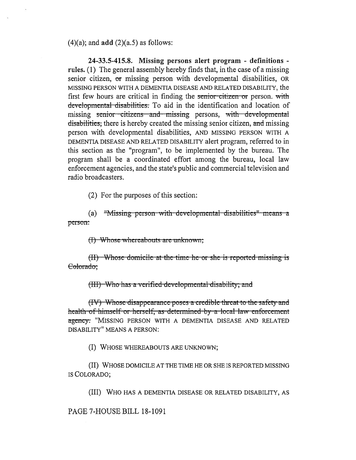(4)(a); and **add** (2)(a.5) as follows:

**24-33.5-415.8. Missing persons alert program - definitions rules. (1)** The general assembly hereby finds that, in the case of a missing senior citizen, **or** missing person with developmental disabilities, OR MISSING PERSON WITH A DEMENTIA DISEASE AND RELATED DISABILITY, the first few hours are critical in finding the senior citizen or person. with developmental disabilities. To aid in the identification and location of missing senior citizens and missing persons, with developmental disabilities, there is hereby created the missing senior citizen, and missing person with developmental disabilities, AND MISSING PERSON WITH A DEMENTIA DISEASE AND RELATED DISABILITY alert program, referred to in this section as the "program", to be implemented by the bureau. The program shall be a coordinated effort among the bureau, local law enforcement agencies, and the state's public and commercial television and radio broadcasters.

(2) For the purposes of this section:

(a) "Missing person with developmental disabilities" me person.

(I) Whose whereabouts are unknown;

(II) Whose domicile at the time he or she is reported missing is Colorado:

<del>erified developmental disability; an</del>

**(IV)** Whose disappearance poses a credible threat to the safety and **health of himself or herself, as determined by a local law enforcement agency.** "MISSING PERSON WITH A DEMENTIA DISEASE AND RELATED DISABILITY" MEANS A PERSON:

(I) WHOSE WHEREABOUTS ARE UNKNOWN;

(II) WHOSE DOMICILE AT THE TIME HE OR SHE IS REPORTED MISSING IS COLORADO;

(III) WHO HAS A DEMENTIA DISEASE OR RELATED DISABILITY, AS

PAGE 7-HOUSE BILL 18-1091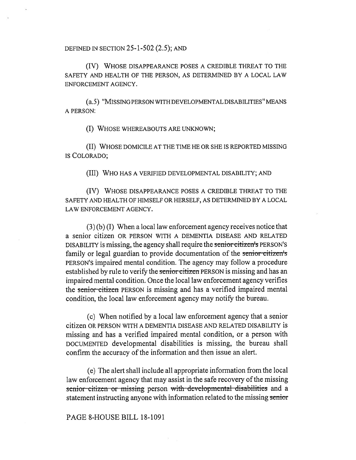DEFINED IN SECTION 25-1-502 (2.5); AND

(IV) WHOSE DISAPPEARANCE POSES A CREDIBLE THREAT TO THE SAFETY AND HEALTH OF THE PERSON, AS DETERMINED BY A LOCAL LAW ENFORCEMENT AGENCY.

(a.5) "MISSING PERSON WITH DEVELOPMENTAL DISABILITIES" MEANS A PERSON:

(I) WHOSE WHEREABOUTS ARE UNKNOWN;

(II) WHOSE DOMICILE AT THE TIME HE OR SHE IS REPORTED MISSING IS COLORADO;

(III) WHO HAS A VERIFIED DEVELOPMENTAL DISABILITY; AND

(IV) WHOSE DISAPPEARANCE POSES A CREDIBLE THREAT TO THE SAFETY AND HEALTH OF HIMSELF OR HERSELF, AS DETERMINED BY A LOCAL LAW ENFORCEMENT AGENCY.

(3) (b) (I) When a local law enforcement agency receives notice that a senior citizen OR PERSON WITH A DEMENTIA DISEASE AND RELATED DISABILITY is missing, the agency shall require the senior citizen's PERSON'S family or legal guardian to provide documentation of the senior citizents PERSON'S impaired mental condition. The agency may follow a procedure established by rule to verify the senior citizen PERSON is missing and has an impaired mental condition. Once the local law enforcement agency verifies the senior citizen PERSON is missing and has a verified impaired mental condition, the local law enforcement agency may notify the bureau.

(c) When notified by a local law enforcement agency that a senior citizen OR PERSON WITH A DEMENTIA DISEASE AND RELATED DISABILITY is missing and has a verified impaired mental condition, or a person with DOCUMENTED developmental disabilities is missing, the bureau shall confirm the accuracy of the information and then issue an alert.

(e) The alert shall include all appropriate information from the local law enforcement agency that may assist in the safe recovery of the missing senior citizen or missing person with developmental disabilities and a statement instructing anyone with information related to the missing senior

## PAGE 8-HOUSE BILL 18-1091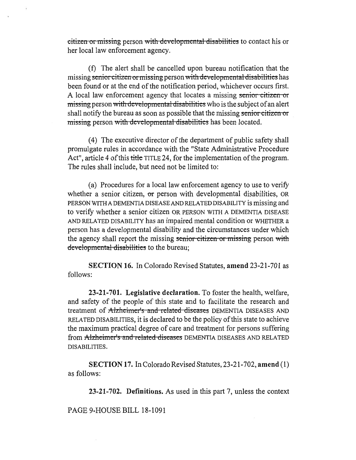**Lattizen or missing person with developmental disabilities to contact his or** her local law enforcement agency.

(f) The alert shall be cancelled upon bureau notification that the missing **senior citizen or missing** person with developmental disabilities has been found or at the end of the notification period, whichever occurs first. A local law enforcement agency that locates a missing senior citizen or missing person with developmental disabilities who is the subject of an alert shall notify the bureau as soon as possible that the missing senior citizen or missing person with developmental disabilities has been located.

(4) The executive director of the department of public safety shall promulgate rules in accordance with the "State Administrative Procedure Act", article 4 of this title TITLE 24, for the implementation of the program. The rules shall include, but need not be limited to:

(a) Procedures for a local law enforcement agency to use to verify whether a senior citizen, or person with developmental disabilities, OR PERSON WITH A DEMENTIA DISEASE AND RELATED DISABILITY is missing and to verify whether a senior citizen OR PERSON WITH A DEMENTIA DISEASE AND RELATED DISABILITY has an impaired mental condition or WHETHER a person has a developmental disability and the circumstances under which the agency shall report the missing senior citizen or missing person with **developmental-disabilities** to **the bureau;** 

**SECTION 16.** In Colorado Revised Statutes, **amend** 23-21-701 as follows:

**23-21-701. Legislative declaration.** To foster the health, welfare, and safety of the people of this state and to facilitate the research and treatment of Alzheimer's and related diseases DEMENTIA DISEASES AND RELATED DISABILITIES, it is declared to be the policy of this state to achieve the maximum practical degree of care and treatment for persons suffering from Alzheimer's and related diseases DEMENTIA DISEASES AND RELATED DISABILITIES.

**SECTION 17.** In Colorado Revised Statutes, 23-21-702, **amend** (1) as follows:

**23-21-702. Definitions.** As used in this part 7, unless the context

PAGE 9-HOUSE BILL 18-1091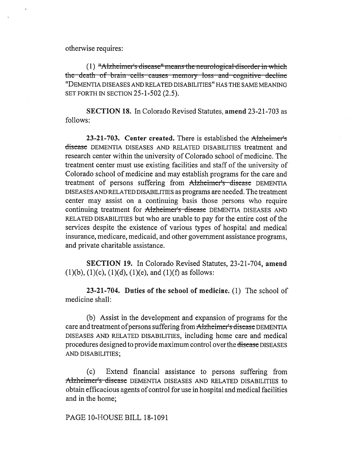otherwise requires:

 $(1)$  "Alzheimer's disease" means the neurological-disorder in which the death of brain cells causes memory loss and cognitive decline "DEMENTIA DISEASES AND RELATED DISABILITIES" HAS THE SAME MEANING SET FORTH IN SECTION 25-1-502 (2.5).

**SECTION 18.** In Colorado Revised Statutes, **amend** 23-21-703 as follows:

**23-21-703. Center created.** There is established the Alzheimer's disease DEMENTIA DISEASES AND RELATED DISABILITIES treatment and research center within the university of Colorado school of medicine. The treatment center must use existing facilities and staff of the university of Colorado school of medicine and may establish programs for the care and treatment of persons suffering from Alzheimer's disease DEMENTIA DISEASES AND RELATED DISABILITIES as programs are needed. The treatment center may assist on a continuing basis those persons who require continuing treatment for Alzheimer's disease DEMENTIA DISEASES AND RELATED DISABILITIES but who are unable to pay for the entire cost of the services despite the existence of various types of hospital and medical insurance, medicare, medicaid, and other government assistance programs, and private charitable assistance.

**SECTION 19.** In Colorado Revised Statutes, 23-21-704, **amend**   $(1)(b)$ ,  $(1)(c)$ ,  $(1)(d)$ ,  $(1)(e)$ , and  $(1)(f)$  as follows:

**23-21-704. Duties of the school of medicine.** (1) The school of medicine shall:

(b) Assist in the development and expansion of programs for the care and treatment of persons suffering from Alzheimer's disease DEMENTIA DISEASES AND RELATED DISABILITIES, including home care and medical procedures designed to provide maximum control over the disease DISEASES AND DISABILITIES;

(c) Extend financial assistance to persons suffering from Alzheimer's disease DEMENTIA DISEASES AND RELATED DISABILITIES to obtain efficacious agents of control for use in hospital and medical facilities and in the home;

PAGE 10-HOUSE BILL 18-1091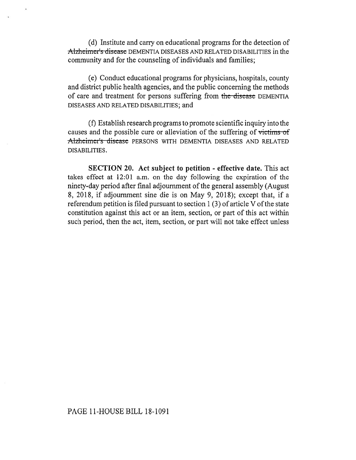(d) Institute and carry on educational programs for the detection of Alzheimer's disease DEMENTIA DISEASES AND RELATED DISABILITIES in the community and for the counseling of individuals and families;

(e) Conduct educational programs for physicians, hospitals, county and district public health agencies, and the public concerning the methods of care and treatment for persons suffering from the discasc DEMENTIA DISEASES AND RELATED DISABILITIES; and

(f) Establish research programs to promote scientific inquiry into the causes and the possible cure or alleviation of the suffering of victims of Alzheimer's disease PERSONS WITH DEMENTIA DISEASES AND RELATED DISABILITIES.

**SECTION 20. Act subject to petition - effective date.** This act takes effect at 12:01 a.m. on the day following the expiration of the ninety-day period after final adjournment of the general assembly (August 8, 2018, if adjournment sine die is on May 9, 2018); except that, if a referendum petition is filed pursuant to section 1 (3) of article V of the state constitution against this act or an item, section, or part of this act within such period, then the act, item, section, or part will not take effect unless